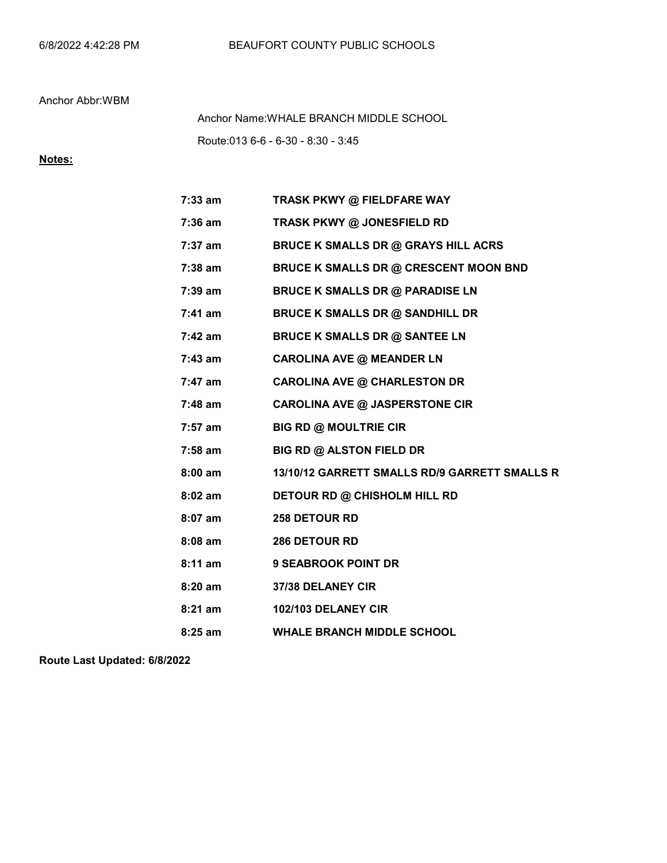Route:013 6-6 - 6-30 - 8:30 - 3:45 Anchor Name:WHALE BRANCH MIDDLE SCHOOL

## Notes:

| 7:33 am           | TRASK PKWY @ FIELDFARE WAY                    |
|-------------------|-----------------------------------------------|
| 7:36 am           | TRASK PKWY @ JONESFIELD RD                    |
| 7:37 am           | <b>BRUCE K SMALLS DR @ GRAYS HILL ACRS</b>    |
| 7:38 am           | <b>BRUCE K SMALLS DR @ CRESCENT MOON BND</b>  |
| 7:39 am           | <b>BRUCE K SMALLS DR @ PARADISE LN</b>        |
| 7:41 am           | <b>BRUCE K SMALLS DR @ SANDHILL DR</b>        |
| 7:42 am           | <b>BRUCE K SMALLS DR @ SANTEE LN</b>          |
| 7:43 am           | <b>CAROLINA AVE @ MEANDER LN</b>              |
| 7:47 am           | <b>CAROLINA AVE @ CHARLESTON DR</b>           |
| 7:48 am           | <b>CAROLINA AVE @ JASPERSTONE CIR</b>         |
| 7:57 am           | <b>BIG RD @ MOULTRIE CIR</b>                  |
| 7:58 am           | <b>BIG RD @ ALSTON FIELD DR</b>               |
| $8:00 \text{ am}$ | 13/10/12 GARRETT SMALLS RD/9 GARRETT SMALLS R |
| $8:02$ am         | <b>DETOUR RD @ CHISHOLM HILL RD</b>           |
| 8:07 am           | 258 DETOUR RD                                 |
| $8:08$ am         | <b>286 DETOUR RD</b>                          |
| $8:11$ am         | <b>9 SEABROOK POINT DR</b>                    |
| 8:20 am           | <b>37/38 DELANEY CIR</b>                      |
| $8:21$ am         | 102/103 DELANEY CIR                           |
| $8:25$ am         | <b>WHALE BRANCH MIDDLE SCHOOL</b>             |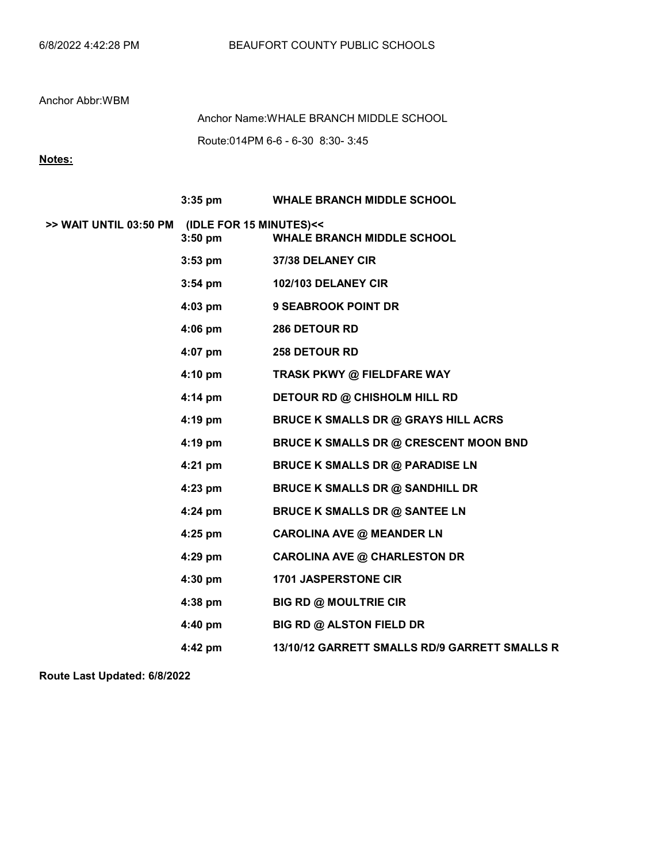Route:014PM 6-6 - 6-30 8:30- 3:45 Anchor Name:WHALE BRANCH MIDDLE SCHOOL

# Notes:

|                                                | $3:35$ pm         | <b>WHALE BRANCH MIDDLE SCHOOL</b>             |
|------------------------------------------------|-------------------|-----------------------------------------------|
| >> WAIT UNTIL 03:50 PM (IDLE FOR 15 MINUTES)<< | $3:50$ pm         | <b>WHALE BRANCH MIDDLE SCHOOL</b>             |
|                                                | $3:53$ pm         | 37/38 DELANEY CIR                             |
|                                                | $3:54 \text{ pm}$ | 102/103 DELANEY CIR                           |
|                                                | $4:03$ pm         | <b>9 SEABROOK POINT DR</b>                    |
|                                                | $4:06 \text{ pm}$ | <b>286 DETOUR RD</b>                          |
|                                                | 4:07 pm           | <b>258 DETOUR RD</b>                          |
|                                                | 4:10 pm           | TRASK PKWY @ FIELDFARE WAY                    |
|                                                | 4:14 pm           | <b>DETOUR RD @ CHISHOLM HILL RD</b>           |
|                                                | 4:19 pm           | <b>BRUCE K SMALLS DR @ GRAYS HILL ACRS</b>    |
|                                                | 4:19 pm           | BRUCE K SMALLS DR @ CRESCENT MOON BND         |
|                                                | $4:21$ pm         | <b>BRUCE K SMALLS DR @ PARADISE LN</b>        |
|                                                | $4:23$ pm         | <b>BRUCE K SMALLS DR @ SANDHILL DR</b>        |
|                                                | 4:24 pm           | <b>BRUCE K SMALLS DR @ SANTEE LN</b>          |
|                                                | 4:25 pm           | <b>CAROLINA AVE @ MEANDER LN</b>              |
|                                                | 4:29 pm           | <b>CAROLINA AVE @ CHARLESTON DR</b>           |
|                                                | $4:30$ pm         | <b>1701 JASPERSTONE CIR</b>                   |
|                                                | $4:38$ pm         | <b>BIG RD @ MOULTRIE CIR</b>                  |
|                                                | $4:40$ pm         | <b>BIG RD @ ALSTON FIELD DR</b>               |
|                                                | $4:42$ pm         | 13/10/12 GARRETT SMALLS RD/9 GARRETT SMALLS R |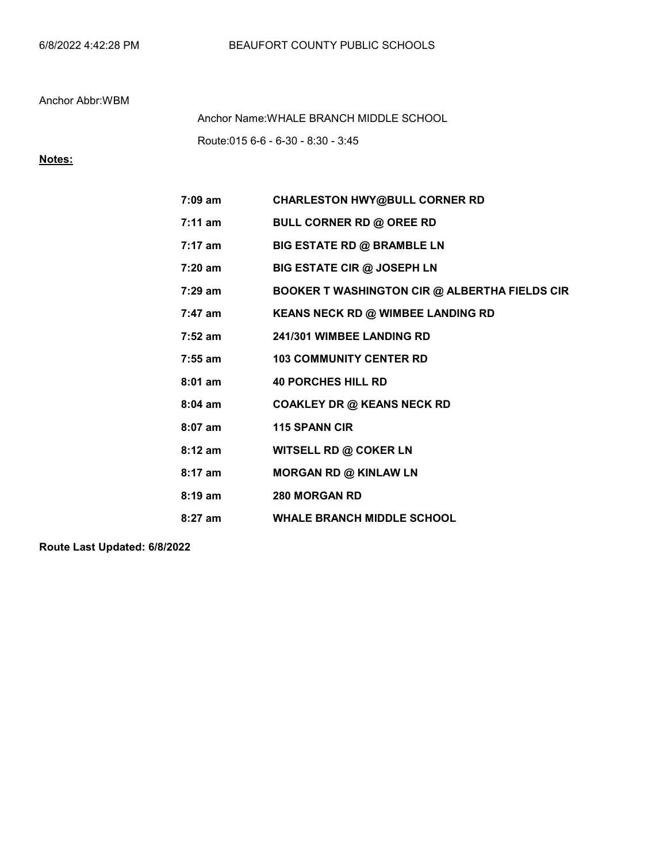Route:015 6-6 - 6-30 - 8:30 - 3:45 Anchor Name:WHALE BRANCH MIDDLE SCHOOL

# Notes:

| $7:09$ am         | <b>CHARLESTON HWY@BULL CORNER RD</b>                 |
|-------------------|------------------------------------------------------|
| 7:11 am           | <b>BULL CORNER RD @ OREE RD</b>                      |
| $7:17 \text{ am}$ | <b>BIG ESTATE RD @ BRAMBLE LN</b>                    |
| 7:20 am           | <b>BIG ESTATE CIR @ JOSEPH LN</b>                    |
| $7:29 \text{ am}$ | <b>BOOKER T WASHINGTON CIR @ ALBERTHA FIELDS CIR</b> |
| 7:47 am           | KEANS NECK RD @ WIMBEE LANDING RD                    |
| $7:52$ am         | 241/301 WIMBEE LANDING RD                            |
| $7:55$ am         | <b>103 COMMUNITY CENTER RD</b>                       |
| $8:01$ am         | <b>40 PORCHES HILL RD</b>                            |
| $8:04$ am         | <b>COAKLEY DR @ KEANS NECK RD</b>                    |
| $8:07$ am         | <b>115 SPANN CIR</b>                                 |
| $8:12$ am         | <b>WITSELL RD @ COKER LN</b>                         |
| $8:17$ am         | <b>MORGAN RD @ KINLAW LN</b>                         |
| $8:19 \text{ am}$ | <b>280 MORGAN RD</b>                                 |
| $8:27$ am         | <b>WHALE BRANCH MIDDLE SCHOOL</b>                    |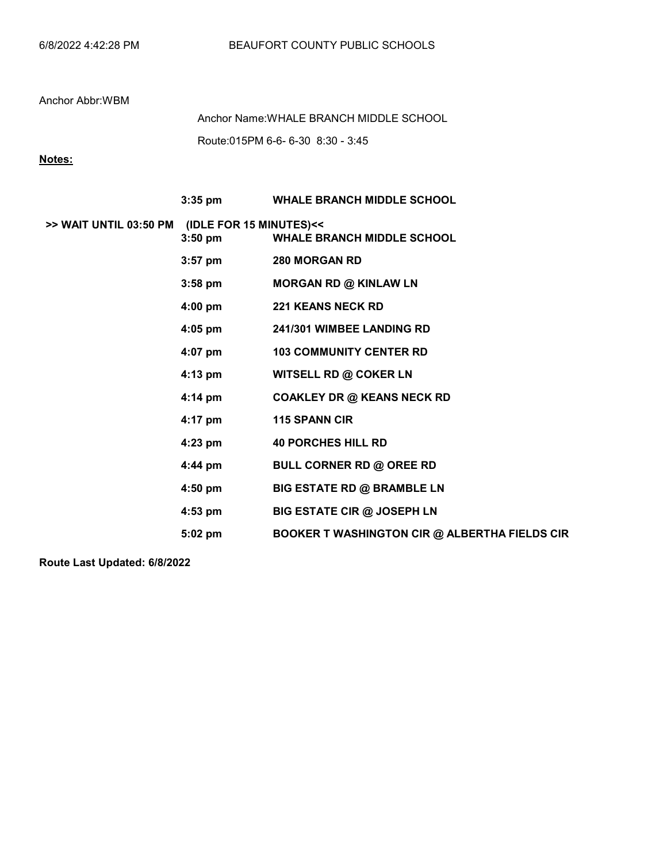Route:015PM 6-6- 6-30 8:30 - 3:45 Anchor Name:WHALE BRANCH MIDDLE SCHOOL

# Notes:

|                                                |                   | 3:35 pm WHALE BRANCH MIDDLE SCHOOL                   |
|------------------------------------------------|-------------------|------------------------------------------------------|
| >> WAIT UNTIL 03:50 PM (IDLE FOR 15 MINUTES)<< | $3:50$ pm         | <b>WHALE BRANCH MIDDLE SCHOOL</b>                    |
|                                                | $3:57$ pm         | <b>280 MORGAN RD</b>                                 |
|                                                | $3:58 \text{ pm}$ | <b>MORGAN RD @ KINLAW LN</b>                         |
|                                                | 4:00 pm           | <b>221 KEANS NECK RD</b>                             |
|                                                | 4:05 pm           | 241/301 WIMBEE LANDING RD                            |
|                                                | 4:07 pm           | <b>103 COMMUNITY CENTER RD</b>                       |
|                                                | 4:13 pm           | WITSELL RD @ COKER LN                                |
|                                                | $4:14 \text{ pm}$ | <b>COAKLEY DR @ KEANS NECK RD</b>                    |
|                                                | 4:17 pm           | <b>115 SPANN CIR</b>                                 |
|                                                | $4:23$ pm         | <b>40 PORCHES HILL RD</b>                            |
|                                                | 4:44 pm           | <b>BULL CORNER RD @ OREE RD</b>                      |
|                                                | $4:50$ pm         | <b>BIG ESTATE RD @ BRAMBLE LN</b>                    |
|                                                | 4:53 pm           | <b>BIG ESTATE CIR @ JOSEPH LN</b>                    |
|                                                | 5:02 pm           | <b>BOOKER T WASHINGTON CIR @ ALBERTHA FIELDS CIR</b> |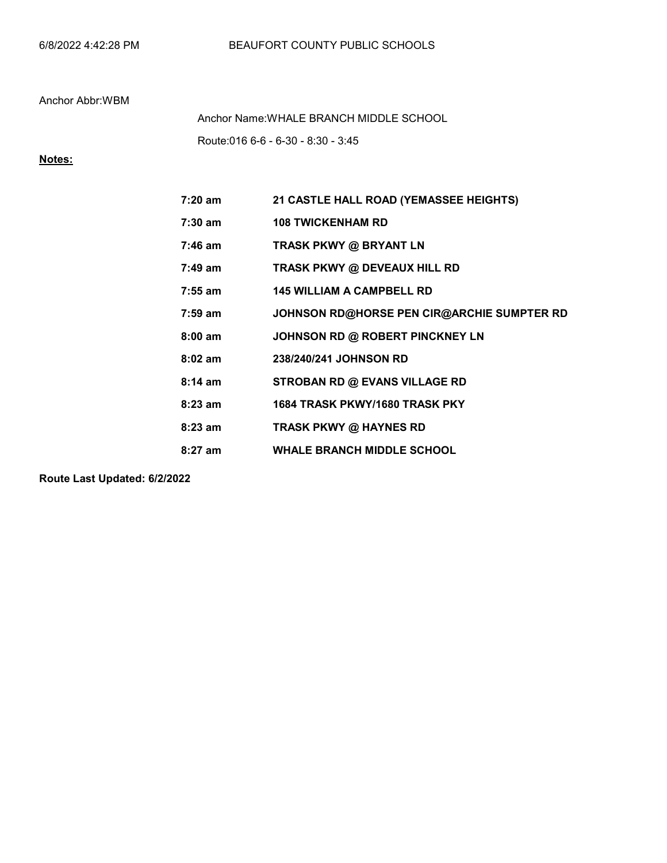Route:016 6-6 - 6-30 - 8:30 - 3:45 Anchor Name:WHALE BRANCH MIDDLE SCHOOL

# Notes:

| 7:20 am           | 21 CASTLE HALL ROAD (YEMASSEE HEIGHTS)     |
|-------------------|--------------------------------------------|
| 7:30 am           | <b>108 TWICKENHAM RD</b>                   |
| $7:46$ am         | <b>TRASK PKWY @ BRYANT LN</b>              |
| $7:49 \text{ am}$ | TRASK PKWY @ DEVEAUX HILL RD               |
| $7:55$ am         | <b>145 WILLIAM A CAMPBELL RD</b>           |
| $7:59$ am         | JOHNSON RD@HORSE PEN CIR@ARCHIE SUMPTER RD |
| $8:00$ am         | JOHNSON RD @ ROBERT PINCKNEY LN            |
| $8:02$ am         | 238/240/241 JOHNSON RD                     |
| $8:14 \text{ am}$ | STROBAN RD @ EVANS VILLAGE RD              |
| $8:23$ am         | 1684 TRASK PKWY/1680 TRASK PKY             |
| $8:23$ am         | <b>TRASK PKWY @ HAYNES RD</b>              |
| $8:27$ am         | <b>WHALE BRANCH MIDDLE SCHOOL</b>          |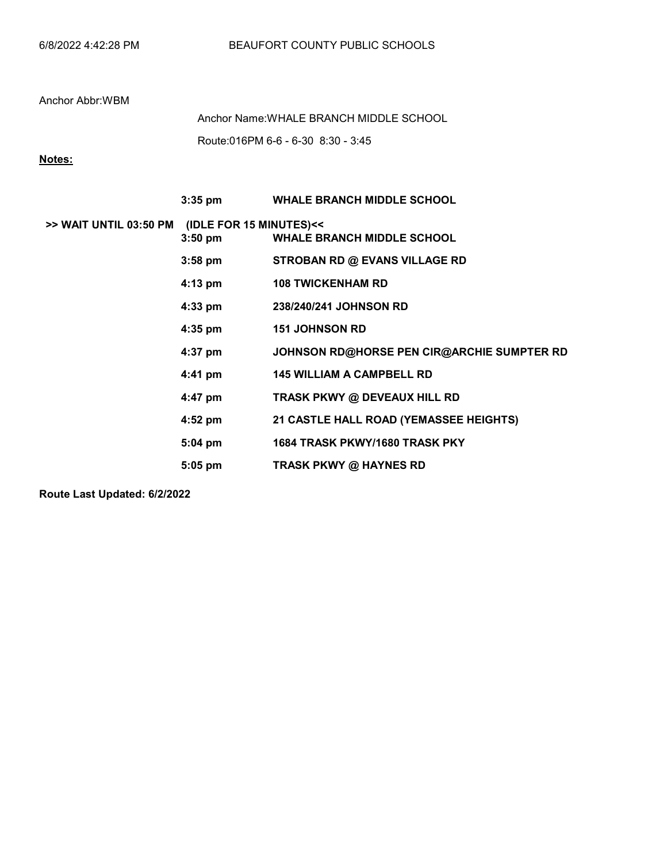Route:016PM 6-6 - 6-30 8:30 - 3:45 Anchor Name:WHALE BRANCH MIDDLE SCHOOL

## Notes:

|                                                | $3:35$ pm | <b>WHALE BRANCH MIDDLE SCHOOL</b>          |
|------------------------------------------------|-----------|--------------------------------------------|
| >> WAIT UNTIL 03:50 PM (IDLE FOR 15 MINUTES)<< | $3:50$ pm | <b>WHALE BRANCH MIDDLE SCHOOL</b>          |
|                                                | $3:58$ pm | <b>STROBAN RD @ EVANS VILLAGE RD</b>       |
|                                                | $4:13$ pm | <b>108 TWICKENHAM RD</b>                   |
|                                                | $4:33$ pm | 238/240/241 JOHNSON RD                     |
|                                                | $4:35$ pm | <b>151 JOHNSON RD</b>                      |
|                                                | $4:37$ pm | JOHNSON RD@HORSE PEN CIR@ARCHIE SUMPTER RD |
|                                                | $4:41$ pm | <b>145 WILLIAM A CAMPBELL RD</b>           |
|                                                | $4:47$ pm | TRASK PKWY @ DEVEAUX HILL RD               |
|                                                | $4:52$ pm | 21 CASTLE HALL ROAD (YEMASSEE HEIGHTS)     |
|                                                | $5:04$ pm | 1684 TRASK PKWY/1680 TRASK PKY             |
|                                                | $5:05$ pm | <b>TRASK PKWY @ HAYNES RD</b>              |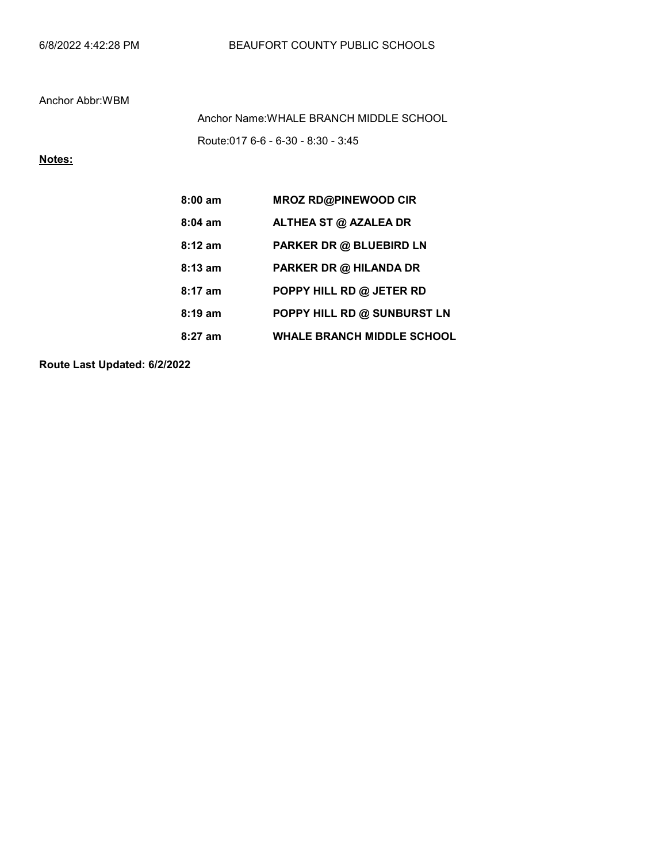Route:017 6-6 - 6-30 - 8:30 - 3:45 Anchor Name:WHALE BRANCH MIDDLE SCHOOL

# Notes:

| $8:00$ am         | <b>MROZ RD@PINEWOOD CIR</b>       |
|-------------------|-----------------------------------|
| $8:04$ am         | ALTHEA ST @ AZALEA DR             |
| $8:12 \text{ am}$ | <b>PARKER DR @ BLUEBIRD LN</b>    |
| $8:13$ am         | PARKER DR @ HILANDA DR            |
| $8:17$ am         | POPPY HILL RD @ JETER RD          |
| $8:19 \text{ am}$ | POPPY HILL RD @ SUNBURST LN       |
| 8:27 am           | <b>WHALE BRANCH MIDDLE SCHOOL</b> |